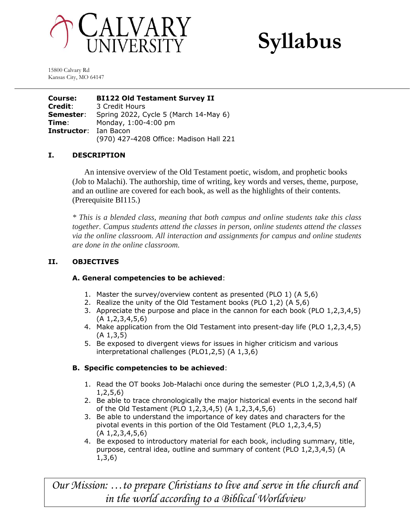



15800 Calvary Rd Kansas City, MO 64147

**Course: BI122 Old Testament Survey II Credit**: 3 Credit Hours **Semester**: Spring 2022, Cycle 5 (March 14-May 6) **Time**: Monday, 1:00-4:00 pm **Instructor**: Ian Bacon (970) 427-4208 Office: Madison Hall 221

# **I. DESCRIPTION**

An intensive overview of the Old Testament poetic, wisdom, and prophetic books (Job to Malachi). The authorship, time of writing, key words and verses, theme, purpose, and an outline are covered for each book, as well as the highlights of their contents. (Prerequisite BI115.)

*\* This is a blended class, meaning that both campus and online students take this class together. Campus students attend the classes in person, online students attend the classes via the online classroom. All interaction and assignments for campus and online students are done in the online classroom.*

## **II. OBJECTIVES**

## **A. General competencies to be achieved**:

- 1. Master the survey/overview content as presented (PLO 1) (A 5,6)
- 2. Realize the unity of the Old Testament books (PLO 1,2) (A 5,6)
- 3. Appreciate the purpose and place in the cannon for each book (PLO 1,2,3,4,5) (A 1,2,3,4,5,6)
- 4. Make application from the Old Testament into present-day life (PLO 1,2,3,4,5) (A 1,3,5)
- 5. Be exposed to divergent views for issues in higher criticism and various interpretational challenges (PLO1,2,5) (A 1,3,6)

## **B. Specific competencies to be achieved**:

- 1. Read the OT books Job-Malachi once during the semester (PLO 1,2,3,4,5) (A 1,2,5,6)
- 2. Be able to trace chronologically the major historical events in the second half of the Old Testament (PLO 1,2,3,4,5) (A 1,2,3,4,5,6)
- 3. Be able to understand the importance of key dates and characters for the pivotal events in this portion of the Old Testament (PLO 1,2,3,4,5) (A 1,2,3,4,5,6)
- 4. Be exposed to introductory material for each book, including summary, title, purpose, central idea, outline and summary of content (PLO 1,2,3,4,5) (A 1,3,6)

*Our Mission: …to prepare Christians to live and serve in the church and in the world according to a Biblical Worldview*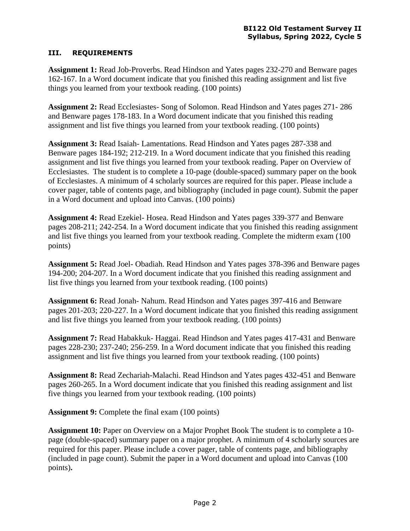## **III. REQUIREMENTS**

**Assignment 1:** Read Job-Proverbs. Read Hindson and Yates pages 232-270 and Benware pages 162-167. In a Word document indicate that you finished this reading assignment and list five things you learned from your textbook reading. (100 points)

**Assignment 2:** Read Ecclesiastes- Song of Solomon. Read Hindson and Yates pages 271- 286 and Benware pages 178-183. In a Word document indicate that you finished this reading assignment and list five things you learned from your textbook reading. (100 points)

**Assignment 3:** Read Isaiah- Lamentations. Read Hindson and Yates pages 287-338 and Benware pages 184-192; 212-219. In a Word document indicate that you finished this reading assignment and list five things you learned from your textbook reading. Paper on Overview of Ecclesiastes. The student is to complete a 10-page (double-spaced) summary paper on the book of Ecclesiastes. A minimum of 4 scholarly sources are required for this paper. Please include a cover pager, table of contents page, and bibliography (included in page count). Submit the paper in a Word document and upload into Canvas. (100 points)

**Assignment 4:** Read Ezekiel- Hosea. Read Hindson and Yates pages 339-377 and Benware pages 208-211; 242-254. In a Word document indicate that you finished this reading assignment and list five things you learned from your textbook reading. Complete the midterm exam (100 points)

**Assignment 5:** Read Joel- Obadiah. Read Hindson and Yates pages 378-396 and Benware pages 194-200; 204-207. In a Word document indicate that you finished this reading assignment and list five things you learned from your textbook reading. (100 points)

**Assignment 6:** Read Jonah- Nahum. Read Hindson and Yates pages 397-416 and Benware pages 201-203; 220-227. In a Word document indicate that you finished this reading assignment and list five things you learned from your textbook reading. (100 points)

**Assignment 7:** Read Habakkuk- Haggai. Read Hindson and Yates pages 417-431 and Benware pages 228-230; 237-240; 256-259. In a Word document indicate that you finished this reading assignment and list five things you learned from your textbook reading. (100 points)

**Assignment 8:** Read Zechariah-Malachi. Read Hindson and Yates pages 432-451 and Benware pages 260-265. In a Word document indicate that you finished this reading assignment and list five things you learned from your textbook reading. (100 points)

**Assignment 9:** Complete the final exam (100 points)

**Assignment 10:** Paper on Overview on a Major Prophet Book The student is to complete a 10 page (double-spaced) summary paper on a major prophet. A minimum of 4 scholarly sources are required for this paper. Please include a cover pager, table of contents page, and bibliography (included in page count). Submit the paper in a Word document and upload into Canvas (100 points)**.**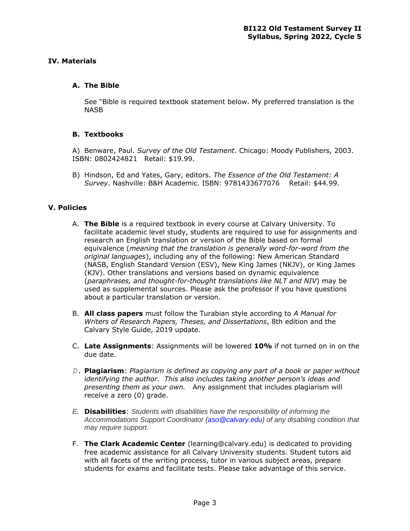#### **IV. Materials**

#### **A. The Bible**

See "Bible is required textbook statement below. My preferred translation is the NASB

#### **B. Textbooks**

A) Benware, Paul. *Survey of the Old Testament*. Chicago: Moody Publishers, 2003. ISBN: 0802424821 Retail: \$19.99.

B) Hindson, Ed and Yates, Gary, editors. *The Essence of the Old Testament: A Survey*. Nashville: B&H Academic. ISBN: 9781433677076 Retail: \$44.99.

#### **V. Policies**

- A. **The Bible** is a required textbook in every course at Calvary University. To facilitate academic level study, students are required to use for assignments and research an English translation or version of the Bible based on formal equivalence (*meaning that the translation is generally word-for-word from the original languages*), including any of the following: New American Standard (NASB, English Standard Version (ESV), New King James (NKJV), or King James (KJV). Other translations and versions based on dynamic equivalence (*paraphrases, and thought-for-thought translations like NLT and NIV*) may be used as supplemental sources. Please ask the professor if you have questions about a particular translation or version.
- B. **All class papers** must follow the Turabian style according to *A Manual for Writers of Research Papers, Theses, and Dissertations*, 8th edition and the Calvary Style Guide, 2019 update.
- C. **Late Assignments**: Assignments will be lowered **10%** if not turned on in on the due date.
- *D.* **Plagiarism**: *Plagiarism is defined as copying any part of a book or paper without identifying the author. This also includes taking another person's ideas and presenting them as your own.* Any assignment that includes plagiarism will receive a zero (0) grade.
- *E.* **Disabilities**: *Students with disabilities have the responsibility of informing the Accommodations Support Coordinator (aso@calvary.edu) of any disabling condition that may require support.*
- F. **The Clark Academic Center** (learning@calvary.edu) is dedicated to providing free academic assistance for all Calvary University students. Student tutors aid with all facets of the writing process, tutor in various subject areas, prepare students for exams and facilitate tests. Please take advantage of this service.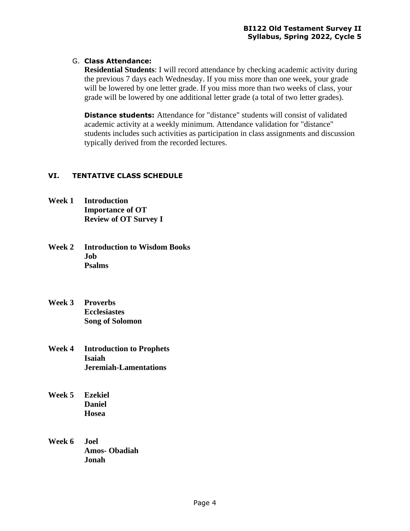# G. **Class Attendance:**

**Residential Students**: I will record attendance by checking academic activity during the previous 7 days each Wednesday. If you miss more than one week, your grade will be lowered by one letter grade. If you miss more than two weeks of class, your grade will be lowered by one additional letter grade (a total of two letter grades).

**Distance students:** Attendance for "distance" students will consist of validated academic activity at a weekly minimum. Attendance validation for "distance" students includes such activities as participation in class assignments and discussion typically derived from the recorded lectures.

# **VI. TENTATIVE CLASS SCHEDULE**

- **Week 1 Introduction Importance of OT Review of OT Survey I**
- **Week 2 Introduction to Wisdom Books Job Psalms**
- **Week 3 Proverbs Ecclesiastes Song of Solomon**
- **Week 4 Introduction to Prophets Isaiah Jeremiah-Lamentations**
- **Week 5 Ezekiel Daniel Hosea**
- **Week 6 Joel Amos- Obadiah Jonah**